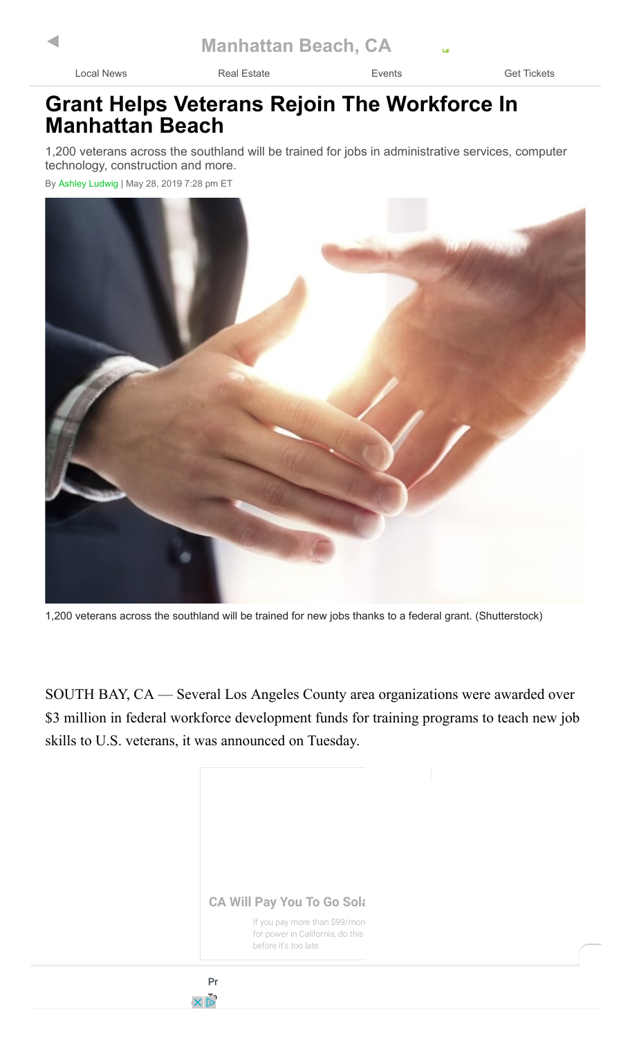[Local News](https://patch.com/california/manhattanbeach?utm_source=amp&utm_campaign=amp&utm_medium=mobile) **[Real Estate](https://patch.com/california/manhattanbeach/local-real-estate?utm_source=amp&utm_campaign=amp&utm_medium=mobile) [Events](https://patch.com/california/manhattanbeach/calendar?utm_source=amp&utm_campaign=amp&utm_medium=mobile)** Events **[Get Tickets](https://patch.com/california/manhattanbeach/tickets/?utm_source=amp&utm_campaign=amp&utm_medium=mobile)** 

## **Grant Helps Veterans Rejoin The Workforce In Manhattan Beach**

1,200 veterans across the southland will be trained for jobs in administrative services, computer technology, construction and more.

By [Ashley Ludwig](https://patch.com/users/ashley-ludwig?utm_source=amp&utm_campaign=amp&utm_medium=mobile) | May 28, 2019 7:28 pm ET



1,200 veterans across the southland will be trained for new jobs thanks to a federal grant. (Shutterstock)

SOUTH BAY, CA — Several Los Angeles County area organizations were awarded over \$3 million in federal workforce development funds for training programs to teach new job skills to U.S. veterans, it was announced on Tuesday.

**CA Will Pay You To Go Solar** 

If you pay more than \$99/mon for power in California, do this before it's too late.